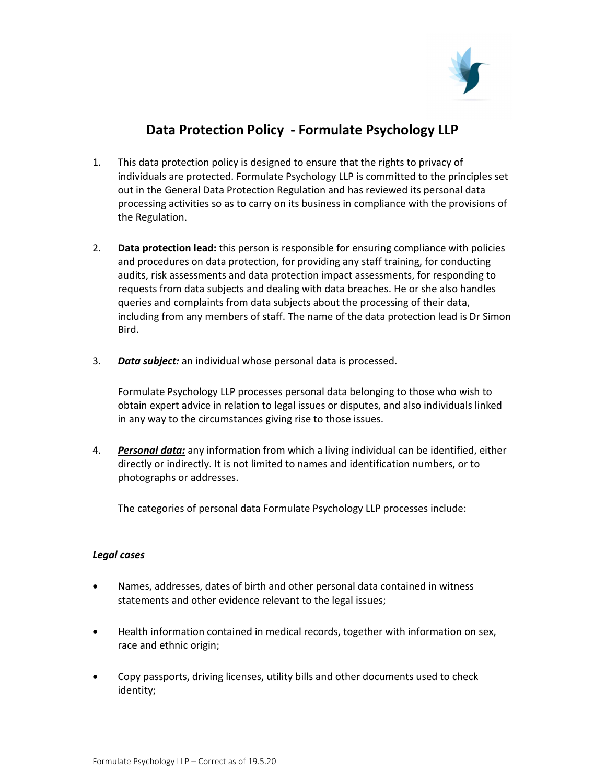

## Data Protection Policy - Formulate Psychology LLP

- 1. This data protection policy is designed to ensure that the rights to privacy of individuals are protected. Formulate Psychology LLP is committed to the principles set out in the General Data Protection Regulation and has reviewed its personal data processing activities so as to carry on its business in compliance with the provisions of the Regulation.
- 2. Data protection lead: this person is responsible for ensuring compliance with policies and procedures on data protection, for providing any staff training, for conducting audits, risk assessments and data protection impact assessments, for responding to requests from data subjects and dealing with data breaches. He or she also handles queries and complaints from data subjects about the processing of their data, including from any members of staff. The name of the data protection lead is Dr Simon Bird.
- 3. Data subject: an individual whose personal data is processed.

Formulate Psychology LLP processes personal data belonging to those who wish to obtain expert advice in relation to legal issues or disputes, and also individuals linked in any way to the circumstances giving rise to those issues.

4. Personal data: any information from which a living individual can be identified, either directly or indirectly. It is not limited to names and identification numbers, or to photographs or addresses.

The categories of personal data Formulate Psychology LLP processes include:

## Legal cases

- Names, addresses, dates of birth and other personal data contained in witness statements and other evidence relevant to the legal issues;
- Health information contained in medical records, together with information on sex, race and ethnic origin;
- Copy passports, driving licenses, utility bills and other documents used to check identity;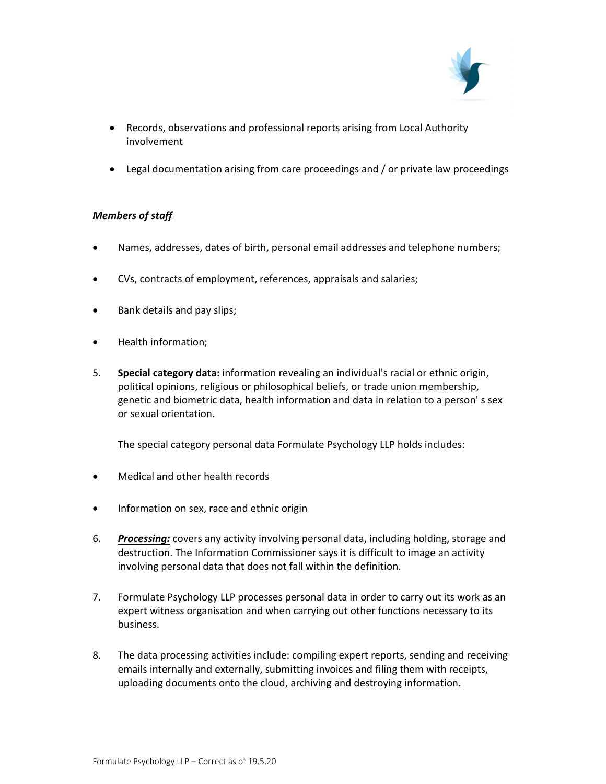

- Records, observations and professional reports arising from Local Authority involvement
- Legal documentation arising from care proceedings and / or private law proceedings

## Members of staff

- Names, addresses, dates of birth, personal email addresses and telephone numbers;
- CVs, contracts of employment, references, appraisals and salaries;
- Bank details and pay slips;
- Health information;
- 5. Special category data: information revealing an individual's racial or ethnic origin, political opinions, religious or philosophical beliefs, or trade union membership, genetic and biometric data, health information and data in relation to a person' s sex or sexual orientation.

The special category personal data Formulate Psychology LLP holds includes:

- Medical and other health records
- Information on sex, race and ethnic origin
- 6. Processing: covers any activity involving personal data, including holding, storage and destruction. The Information Commissioner says it is difficult to image an activity involving personal data that does not fall within the definition.
- 7. Formulate Psychology LLP processes personal data in order to carry out its work as an expert witness organisation and when carrying out other functions necessary to its business.
- 8. The data processing activities include: compiling expert reports, sending and receiving emails internally and externally, submitting invoices and filing them with receipts, uploading documents onto the cloud, archiving and destroying information.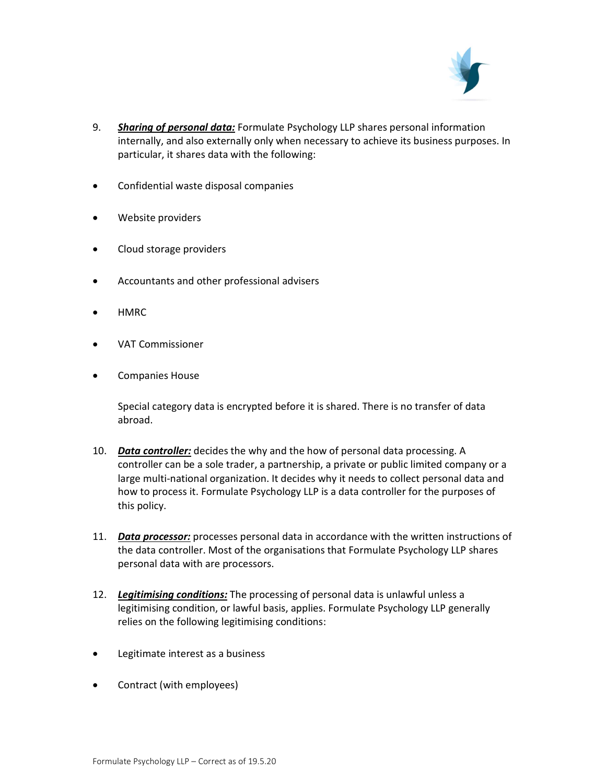

- 9. Sharing of personal data: Formulate Psychology LLP shares personal information internally, and also externally only when necessary to achieve its business purposes. In particular, it shares data with the following:
- Confidential waste disposal companies
- Website providers
- Cloud storage providers
- Accountants and other professional advisers
- HMRC
- VAT Commissioner
- **•** Companies House

Special category data is encrypted before it is shared. There is no transfer of data abroad.

- 10. Data controller: decides the why and the how of personal data processing. A controller can be a sole trader, a partnership, a private or public limited company or a large multi-national organization. It decides why it needs to collect personal data and how to process it. Formulate Psychology LLP is a data controller for the purposes of this policy.
- 11. Data processor: processes personal data in accordance with the written instructions of the data controller. Most of the organisations that Formulate Psychology LLP shares personal data with are processors.
- 12. Legitimising conditions: The processing of personal data is unlawful unless a legitimising condition, or lawful basis, applies. Formulate Psychology LLP generally relies on the following legitimising conditions:
- Legitimate interest as a business
- Contract (with employees)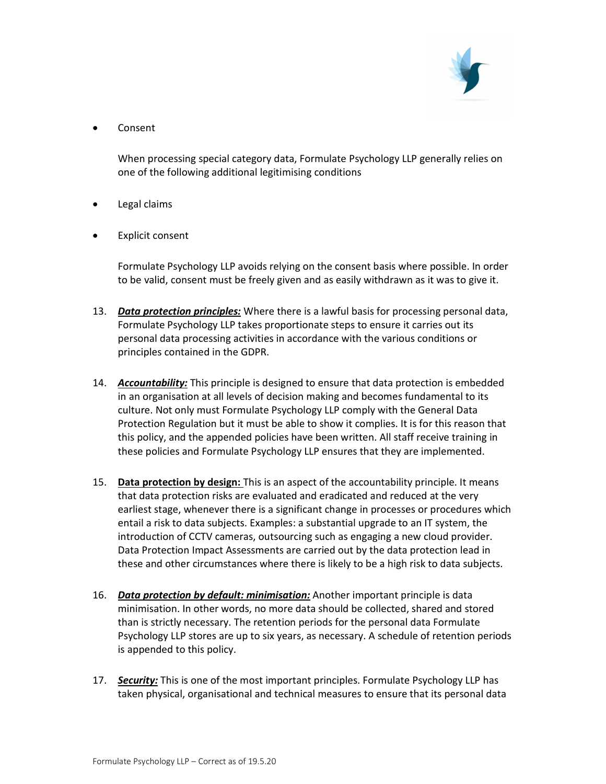

Consent

When processing special category data, Formulate Psychology LLP generally relies on one of the following additional legitimising conditions

- Legal claims
- Explicit consent

Formulate Psychology LLP avoids relying on the consent basis where possible. In order to be valid, consent must be freely given and as easily withdrawn as it was to give it.

- 13. Data protection principles: Where there is a lawful basis for processing personal data, Formulate Psychology LLP takes proportionate steps to ensure it carries out its personal data processing activities in accordance with the various conditions or principles contained in the GDPR.
- 14. Accountability: This principle is designed to ensure that data protection is embedded in an organisation at all levels of decision making and becomes fundamental to its culture. Not only must Formulate Psychology LLP comply with the General Data Protection Regulation but it must be able to show it complies. It is for this reason that this policy, and the appended policies have been written. All staff receive training in these policies and Formulate Psychology LLP ensures that they are implemented.
- 15. Data protection by design: This is an aspect of the accountability principle. It means that data protection risks are evaluated and eradicated and reduced at the very earliest stage, whenever there is a significant change in processes or procedures which entail a risk to data subjects. Examples: a substantial upgrade to an IT system, the introduction of CCTV cameras, outsourcing such as engaging a new cloud provider. Data Protection Impact Assessments are carried out by the data protection lead in these and other circumstances where there is likely to be a high risk to data subjects.
- 16. Data protection by default: minimisation: Another important principle is data minimisation. In other words, no more data should be collected, shared and stored than is strictly necessary. The retention periods for the personal data Formulate Psychology LLP stores are up to six years, as necessary. A schedule of retention periods is appended to this policy.
- 17. Security: This is one of the most important principles. Formulate Psychology LLP has taken physical, organisational and technical measures to ensure that its personal data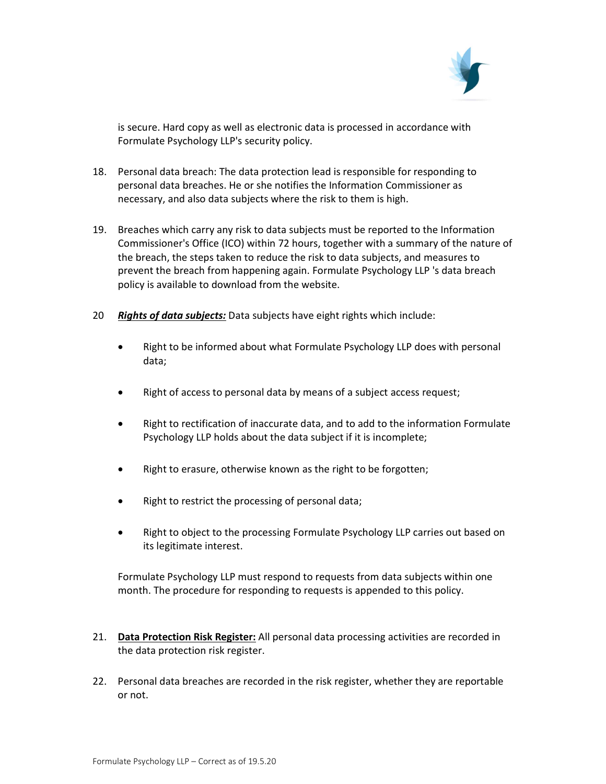

is secure. Hard copy as well as electronic data is processed in accordance with Formulate Psychology LLP's security policy.

- 18. Personal data breach: The data protection lead is responsible for responding to personal data breaches. He or she notifies the Information Commissioner as necessary, and also data subjects where the risk to them is high.
- 19. Breaches which carry any risk to data subjects must be reported to the Information Commissioner's Office (ICO) within 72 hours, together with a summary of the nature of the breach, the steps taken to reduce the risk to data subjects, and measures to prevent the breach from happening again. Formulate Psychology LLP 's data breach policy is available to download from the website.
- 20 Rights of data subjects: Data subjects have eight rights which include:
	- Right to be informed about what Formulate Psychology LLP does with personal data;
	- Right of access to personal data by means of a subject access request;
	- Right to rectification of inaccurate data, and to add to the information Formulate Psychology LLP holds about the data subject if it is incomplete;
	- Right to erasure, otherwise known as the right to be forgotten;
	- Right to restrict the processing of personal data;
	- Right to object to the processing Formulate Psychology LLP carries out based on its legitimate interest.

Formulate Psychology LLP must respond to requests from data subjects within one month. The procedure for responding to requests is appended to this policy.

- 21. Data Protection Risk Register: All personal data processing activities are recorded in the data protection risk register.
- 22. Personal data breaches are recorded in the risk register, whether they are reportable or not.